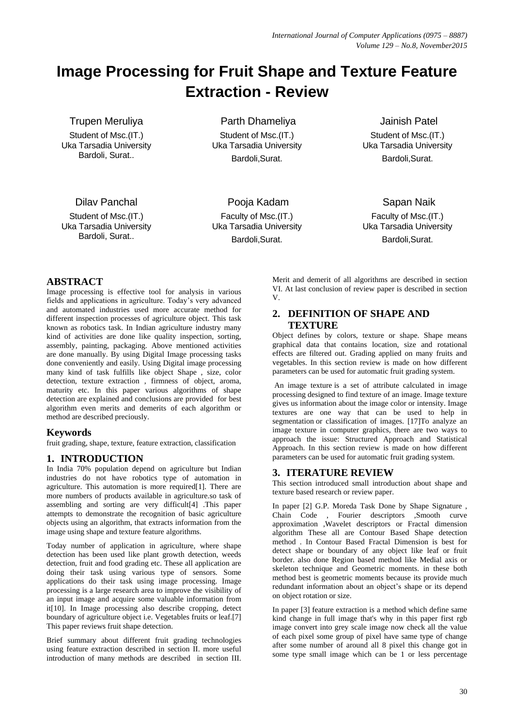# **Image Processing for Fruit Shape and Texture Feature Extraction - Review**

Trupen Meruliya

Student of Msc.(IT.) Uka Tarsadia University Bardoli, Surat..

Parth Dhameliya

Student of Msc.(IT.) Uka Tarsadia University Bardoli,Surat.

Jainish Patel Student of Msc.(IT.) Uka Tarsadia University Bardoli,Surat.

Dilav Panchal

Student of Msc.(IT.) Uka Tarsadia University Bardoli, Surat..

Pooja Kadam Faculty of Msc.(IT.) Uka Tarsadia University Bardoli,Surat.

Sapan Naik Faculty of Msc.(IT.) Uka Tarsadia University

Bardoli,Surat.

## **ABSTRACT**

Image processing is effective tool for analysis in various fields and applications in agriculture. Today's very advanced and automated industries used more accurate method for different inspection processes of agriculture object. This task known as robotics task. In Indian agriculture industry many kind of activities are done like quality inspection, sorting, assembly, painting, packaging. Above mentioned activities are done manually. By using Digital Image processing tasks done conveniently and easily. Using Digital image processing many kind of task fulfills like object Shape , size, color detection, texture extraction , firmness of object, aroma, maturity etc. In this paper various algorithms of shape detection are explained and conclusions are provided for best algorithm even merits and demerits of each algorithm or method are described preciously.

## **Keywords**

fruit grading, shape, texture, feature extraction, classification

### **1. INTRODUCTION**

In India 70% population depend on agriculture but Indian industries do not have robotics type of automation in agriculture. This automation is more required[1]. There are more numbers of products available in agriculture.so task of assembling and sorting are very difficult[4] .This paper attempts to demonstrate the recognition of basic agriculture objects using an algorithm, that extracts information from the image using shape and texture feature algorithms.

Today number of application in agriculture, where shape detection has been used like plant growth detection, weeds detection, fruit and food grading etc. These all application are doing their task using various type of sensors. Some applications do their task using image processing. Image processing is a large research area to improve the visibility of an input image and acquire some valuable information from it[10]. In Image processing also describe cropping, detect boundary of agriculture object i.e. Vegetables fruits or leaf.[7] This paper reviews fruit shape detection.

Brief summary about different fruit grading technologies using feature extraction described in section II. more useful introduction of many methods are described in section III. Merit and demerit of all algorithms are described in section VI. At last conclusion of review paper is described in section V.

#### **2. DEFINITION OF SHAPE AND TEXTURE**

Object defines by colors, texture or shape. Shape means graphical data that contains location, size and rotational effects are filtered out. Grading applied on many fruits and vegetables. In this section review is made on how different parameters can be used for automatic fruit grading system.

An image texture is a set of attribute calculated in image processing designed to find texture of an image. Image texture gives us information about the image color or intensity. Image textures are one way that can be used to help in segmentation or classification of images. [17]To analyze an image texture in computer graphics, there are two ways to approach the issue: Structured Approach and Statistical Approach. In this section review is made on how different parameters can be used for automatic fruit grading system.

### **3. ITERATURE REVIEW**

This section introduced small introduction about shape and texture based research or review paper.

In paper [2] G.P. Moreda Task Done by Shape Signature , Chain Code , Fourier descriptors ,Smooth curve approximation ,Wavelet descriptors or Fractal dimension algorithm These all are Contour Based Shape detection method . In Contour Based Fractal Dimension is best for detect shape or boundary of any object like leaf or fruit border. also done Region based method like Medial axis or skeleton technique and Geometric moments. in these both method best is geometric moments because its provide much redundant information about an object's shape or its depend on object rotation or size.

In paper [3] feature extraction is a method which define same kind change in full image that's why in this paper first rgb image convert into grey scale image now check all the value of each pixel some group of pixel have same type of change after some number of around all 8 pixel this change got in some type small image which can be 1 or less percentage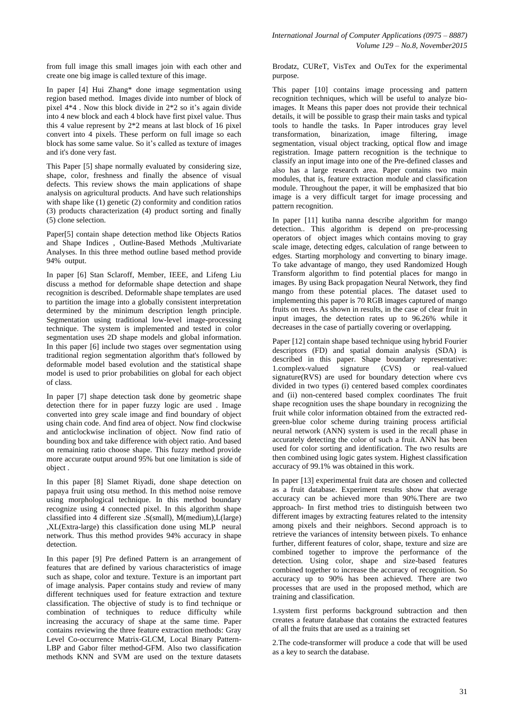from full image this small images join with each other and create one big image is called texture of this image.

In paper [4] Hui Zhang\* done image segmentation using region based method. Images divide into number of block of pixel 4\*4 . Now this block divide in 2\*2 so it's again divide into 4 new block and each 4 block have first pixel value. Thus this 4 value represent by 2\*2 means at last block of 16 pixel convert into 4 pixels. These perform on full image so each block has some same value. So it's called as texture of images and it's done very fast.

This Paper [5] shape normally evaluated by considering size, shape, color, freshness and finally the absence of visual defects. This review shows the main applications of shape analysis on agricultural products. And have such relationships with shape like (1) genetic (2) conformity and condition ratios (3) products characterization (4) product sorting and finally (5) clone selection.

Paper[5] contain shape detection method like Objects Ratios and Shape Indices , Outline-Based Methods , Multivariate Analyses. In this three method outline based method provide 94% output.

In paper [6] Stan Sclaroff, Member, IEEE, and Lifeng Liu discuss a method for deformable shape detection and shape recognition is described. Deformable shape templates are used to partition the image into a globally consistent interpretation determined by the minimum description length principle. Segmentation using traditional low-level image-processing technique. The system is implemented and tested in color segmentation uses 2D shape models and global information. In this paper [6] include two stages over segmentation using traditional region segmentation algorithm that's followed by deformable model based evolution and the statistical shape model is used to prior probabilities on global for each object of class.

In paper [7] shape detection task done by geometric shape detection there for in paper fuzzy logic are used . Image converted into grey scale image and find boundary of object using chain code. And find area of object. Now find clockwise and anticlockwise inclination of object. Now find ratio of bounding box and take difference with object ratio. And based on remaining ratio choose shape. This fuzzy method provide more accurate output around 95% but one limitation is side of object .

In this paper [8] Slamet Riyadi, done shape detection on papaya fruit using otsu method. In this method noise remove using morphological technique. In this method boundary recognize using 4 connected pixel. In this algorithm shape classified into 4 different size .S(small), M(medium),L(large) ,XL(Extra-large) this classification done using MLP neural network. Thus this method provides 94% accuracy in shape detection.

In this paper [9] Pre defined Pattern is an arrangement of features that are defined by various characteristics of image such as shape, color and texture. Texture is an important part of image analysis. Paper contains study and review of many different techniques used for feature extraction and texture classification. The objective of study is to find technique or combination of techniques to reduce difficulty while increasing the accuracy of shape at the same time. Paper contains reviewing the three feature extraction methods: Gray Level Co-occurrence Matrix-GLCM, Local Binary Pattern-LBP and Gabor filter method-GFM. Also two classification methods KNN and SVM are used on the texture datasets Brodatz, CUReT, VisTex and OuTex for the experimental purpose.

This paper [10] contains image processing and pattern recognition techniques, which will be useful to analyze bioimages. It Means this paper does not provide their technical details, it will be possible to grasp their main tasks and typical tools to handle the tasks. In Paper introduces gray level transformation, binarization, image filtering, image segmentation, visual object tracking, optical flow and image registration. Image pattern recognition is the technique to classify an input image into one of the Pre-defined classes and also has a large research area. Paper contains two main modules, that is, feature extraction module and classification module. Throughout the paper, it will be emphasized that bio image is a very difficult target for image processing and pattern recognition.

In paper [11] kutiba nanna describe algorithm for mango detection.. This algorithm is depend on pre-processing operators of object images which contains moving to gray scale image, detecting edges, calculation of range between to edges. Starting morphology and converting to binary image. To take advantage of mango, they used Randomized Hough Transform algorithm to find potential places for mango in images. By using Back propagation Neural Network, they find mango from these potential places. The dataset used to implementing this paper is 70 RGB images captured of mango fruits on trees. As shown in results, in the case of clear fruit in input images, the detection rates up to 96.26% while it decreases in the case of partially covering or overlapping.

Paper [12] contain shape based technique using hybrid Fourier descriptors (FD) and spatial domain analysis (SDA) is described in this paper. Shape boundary representative: 1.complex-valued signature (CVS) or real-valued signature(RVS) are used for boundary detection where cvs divided in two types (i) centered based complex coordinates and (ii) non-centered based complex coordinates The fruit shape recognition uses the shape boundary in recognizing the fruit while color information obtained from the extracted redgreen-blue color scheme during training process artificial neural network (ANN) system is used in the recall phase in accurately detecting the color of such a fruit. ANN has been used for color sorting and identification. The two results are then combined using logic gates system. Highest classification accuracy of 99.1% was obtained in this work.

In paper [13] experimental fruit data are chosen and collected as a fruit database. Experiment results show that average accuracy can be achieved more than 90%.There are two approach- In first method tries to distinguish between two different images by extracting features related to the intensity among pixels and their neighbors. Second approach is to retrieve the variances of intensity between pixels. To enhance further, different features of color, shape, texture and size are combined together to improve the performance of the detection. Using color, shape and size-based features combined together to increase the accuracy of recognition. So accuracy up to 90% has been achieved. There are two processes that are used in the proposed method, which are training and classification.

1.system first performs background subtraction and then creates a feature database that contains the extracted features of all the fruits that are used as a training set

2.The code-transformer will produce a code that will be used as a key to search the database.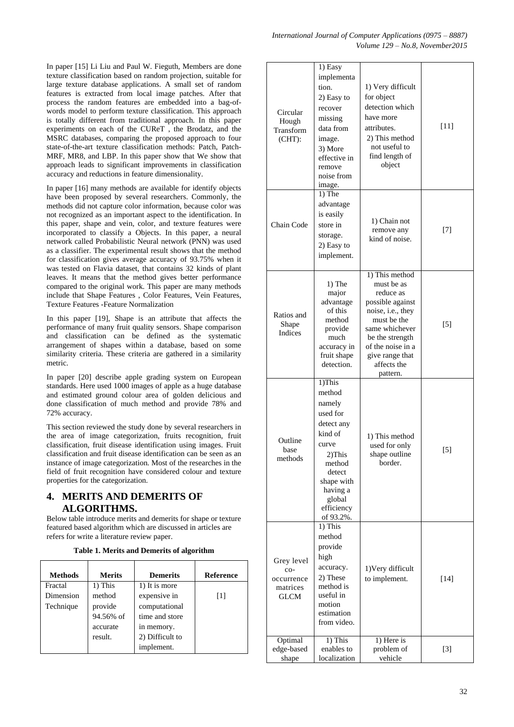In paper [15] Li Liu and Paul W. Fieguth, Members are done texture classification based on random projection, suitable for large texture database applications. A small set of random features is extracted from local image patches. After that process the random features are embedded into a bag-ofwords model to perform texture classification. This approach is totally different from traditional approach. In this paper experiments on each of the CUReT , the Brodatz, and the MSRC databases, comparing the proposed approach to four state-of-the-art texture classification methods: Patch, Patch-MRF, MR8, and LBP. In this paper show that We show that approach leads to significant improvements in classification accuracy and reductions in feature dimensionality.

In paper [16] many methods are available for identify objects have been proposed by several researchers. Commonly, the methods did not capture color information, because color was not recognized as an important aspect to the identification. In this paper, shape and vein, color, and texture features were incorporated to classify a Objects. In this paper, a neural network called Probabilistic Neural network (PNN) was used as a classifier. The experimental result shows that the method for classification gives average accuracy of 93.75% when it was tested on Flavia dataset, that contains 32 kinds of plant leaves. It means that the method gives better performance compared to the original work. This paper are many methods include that Shape Features , Color Features, Vein Features, Texture Features -Feature Normalization

In this paper [19], Shape is an attribute that affects the performance of many fruit quality sensors. Shape comparison and classification can be defined as the systematic arrangement of shapes within a database, based on some similarity criteria. These criteria are gathered in a similarity metric.

In paper [20] describe apple grading system on European standards. Here used 1000 images of apple as a huge database and estimated ground colour area of golden delicious and done classification of much method and provide 78% and 72% accuracy.

This section reviewed the study done by several researchers in the area of image categorization, fruits recognition, fruit classification, fruit disease identification using images. Fruit classification and fruit disease identification can be seen as an instance of image categorization. Most of the researches in the field of fruit recognition have considered colour and texture properties for the categorization.

### **4. MERITS AND DEMERITS OF ALGORITHMS.**

Below table introduce merits and demerits for shape or texture featured based algorithm which are discussed in articles are refers for write a literature review paper.

| <b>Methods</b> | <b>Merits</b> | <b>Demerits</b> | <b>Reference</b> |
|----------------|---------------|-----------------|------------------|
| Fractal        | 1) This       | 1) It is more   |                  |
| Dimension      | method        | expensive in    | $[1]$            |
| Technique      | provide       | computational   |                  |
|                | 94.56% of     | time and store  |                  |
|                | accurate      | in memory.      |                  |
|                | result.       | 2) Difficult to |                  |
|                |               | implement.      |                  |

| Circular<br>Hough<br>Transform<br>$(CHT)$ :                | 1) Easy<br>implementa<br>tion.<br>2) Easy to<br>recover<br>missing<br>data from<br>image.<br>3) More<br>effective in<br>remove<br>noise from<br>image.                | 1) Very difficult<br>for object<br>detection which<br>have more<br>attributes.<br>2) This method<br>not useful to<br>find length of<br>object                                                             | $[11]$ |
|------------------------------------------------------------|-----------------------------------------------------------------------------------------------------------------------------------------------------------------------|-----------------------------------------------------------------------------------------------------------------------------------------------------------------------------------------------------------|--------|
| Chain Code                                                 | 1) The<br>advantage<br>is easily<br>store in<br>storage.<br>2) Easy to<br>implement.                                                                                  | 1) Chain not<br>remove any<br>kind of noise.                                                                                                                                                              | $[7]$  |
| Ratios and<br>Shape<br>Indices                             | 1) The<br>major<br>advantage<br>of this<br>method<br>provide<br>much<br>accuracy in<br>fruit shape<br>detection.                                                      | 1) This method<br>must be as<br>reduce as<br>possible against<br>noise, i.e., they<br>must be the<br>same whichever<br>be the strength<br>of the noise in a<br>give range that<br>affects the<br>pattern. | $[5]$  |
| Outline<br>base<br>methods                                 | 1)This<br>method<br>namely<br>used for<br>detect any<br>kind of<br>curve<br>2)This<br>method<br>detect<br>shape with<br>having a<br>global<br>efficiency<br>of 93.2%. | 1) This method<br>used for only<br>shape outline<br>border.                                                                                                                                               | $[5]$  |
| Grey level<br>co-<br>occurrence<br>matrices<br><b>GLCM</b> | 1) This<br>method<br>provide<br>high<br>accuracy.<br>2) These<br>method is<br>useful in<br>motion<br>estimation<br>from video.                                        | 1) Very difficult<br>to implement.                                                                                                                                                                        | $[14]$ |
| Optimal<br>edge-based<br>shape                             | 1) This<br>enables to<br>localization                                                                                                                                 | 1) Here is<br>problem of<br>vehicle                                                                                                                                                                       | $[3]$  |